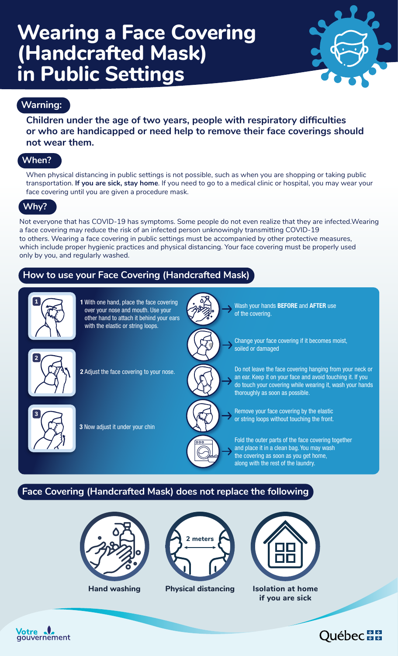# **Wearing a Face Covering (Handcrafted Mask) in Public Settings**



## **Warning:**

**Children under the age of two years, people with respiratory difficulties or who are handicapped or need help to remove their face coverings should not wear them.** 

## **When?**

When physical distancing in public settings is not possible, such as when you are shopping or taking public transportation. **If you are sick, stay home**. If you need to go to a medical clinic or hospital, you may wear your face covering until you are given a procedure mask.

## **Why?**

Not everyone that has COVID-19 has symptoms. Some people do not even realize that they are infected.Wearing a face covering may reduce the risk of an infected person unknowingly transmitting COVID-19 to others. Wearing a face covering in public settings must be accompanied by other protective measures, which include proper hygienic practices and physical distancing. Your face covering must be properly used only by you, and regularly washed.

## **How to use your Face Covering (Handcrafted Mask)**



## **Face Covering (Handcrafted Mask) does not replace the following**





**Hand washing Physical distancing**



**Isolation at home if you are sick**

'otre gouvernement

## Québec +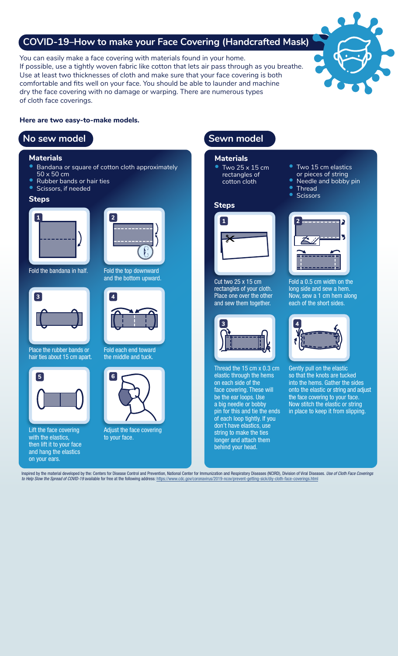## **COVID-19–How to make your Face Covering (Handcrafted Mask)**

You can easily make a face covering with materials found in your home. If possible, use a tightly woven fabric like cotton that lets air pass through as you breathe. Use at least two thicknesses of cloth and make sure that your face covering is both comfortable and fits well on your face. You should be able to launder and machine dry the face covering with no damage or warping. There are numerous types of cloth face coverings.



#### **Here are two easy-to-make models.**

## **No sew model No sew model**

#### **Materials**

- Bandana or square of cotton cloth approximately 50 x 50 cm
- Rubber bands or hair ties
- Scissors, if needed



Fold the bandana in half.



Place the rubber bands or hair ties about 15 cm apart.



Lift the face covering with the elastics, then lift it to your face and hang the elastics on your ears.



Fold the top downward<br>and the bottom upward.



Fold each end toward the middle and tuck.



Adjust the face covering to your face.

**Materials** • Two 25 x 15 cm rectangles of cotton cloth



Cut two 25 x 15 cm rectangles of your cloth. Place one over the other and sew them together.



Thread the 15 cm x 0.3 cm elastic through the hems on each side of the face covering. These will be the ear loops. Use a big needle or bobby pin for this and tie the ends of each loop tightly. If you don't have elastics, use string to make the ties longer and attach them behind your head.

- Two 15 cm elastics
- or pieces of string
- Needle and bobby pin
- **Thread**<br>Scissors



Fold a 0.5 cm width on the long side and sew a hem. Now, sew a 1 cm hem along each of the short sides.



Gently pull on the elastic so that the knots are tucked into the hems. Gather the sides onto the elastic or string and adjust the face covering to your face. Now stitch the elastic or string in place to keep it from slipping.

Inspired by the material developed by the: Centers for Disease Control and Prevention, National Center for Immunization and Respiratory Diseases (NCIRD), Division of Viral Diseases. *Use of Cloth Face Coverings to Help Slow the Spread of COVID-19* available for free at the following address: <https://www.cdc.gov/coronavirus/2019-ncov/prevent-getting-sick/diy-cloth-face-coverings.html>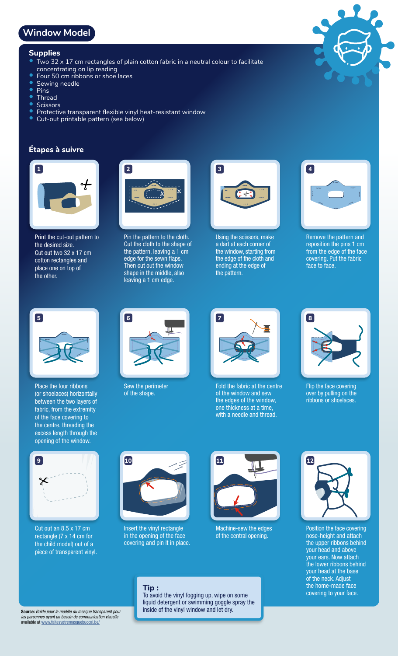## **Window Model**

### **Supplies**

- Two 32  $\times$  17 cm rectangles of plain cotton fabric in a neutral colour to facilitate
	- concentrating on lip reading
- Four 50 cm ribbons or shoe laces
- Sewing needle
- Pins<br>• Thre
- Thread<br>• Scissor
- Scissors<br>• Protective
- Protective transparent flexible vinyl heat-resistant window
- Cut-out printable pattern (see below)

### **Étapes à suivre**



Print the cut-out pattern to the desired size. Cut out two 32 x 17 cm cotton rectangles and place one on top of the other.



Pin the pattern to the cloth. Cut the cloth to the shape of the pattern, leaving a 1 cm edge for the sewn flaps. Then cut out the window shape in the middle, also leaving a 1 cm edge.



Using the scissors, make a dart at each corner of the window, starting from the edge of the cloth and ending at the edge of the pattern.



picto crevé

Remove the pattern and reposition the pins 1 cm from the edge of the face covering. Put the fabric face to face.



Place the four ribbons (or shoelaces) horizontally between the two layers of fabric, from the extremity of the face covering to the centre, threading the excess length through the opening of the window.



Sew the perimeter of the shape.



Fold the fabric at the centre of the window and sew the edges of the window, one thickness at a time, with a needle and thread.



Flip the face covering over by pulling on the ribbons or shoelaces.



Cut out an 8.5 x 17 cm rectangle (7 x 14 cm for the child model) out of a piece of transparent vinyl.



Insert the vinyl rectangle in the opening of the face covering and pin it in place.



Machine-sew the edges of the central opening.



Position the face covering nose-height and attach the upper ribbons behind your head and above your ears. Now attach the lower ribbons behind your head at the base of the neck. Adjust the home-made face<br>covering to your face.

#### Source: *Guide pour le modèle du masque transparent pour les personnes ayant un besoin de communication visuelle* available at [www.faitesvotremasquebuccal.be/](http://www.faitesvotremasquebuccal.be/)

### **Tip :**<br>To avoid the vinyl fogging up, wipe on some **the covering to your face.** liquid detergent or swimming goggle spray the inside of the vinyl window and let dry.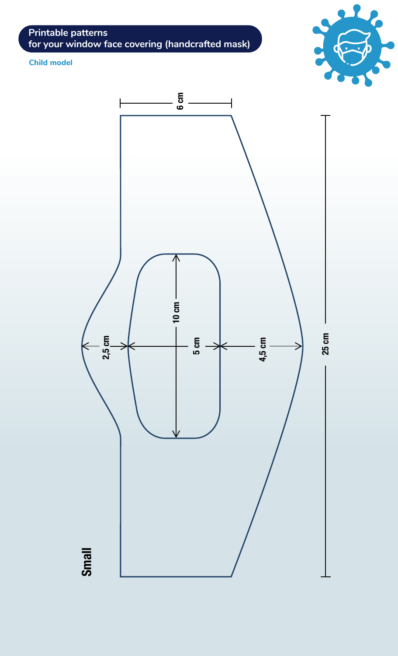**Printable patterns for your window face covering (handcrafted mask)**

**Child model**